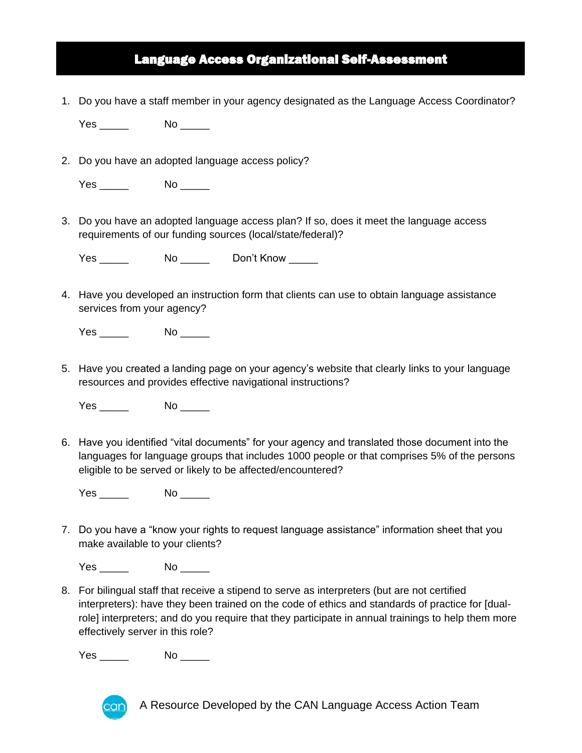## Language Access Organizational Self-Assessment

1. Do you have a staff member in your agency designated as the Language Access Coordinator?

Yes \_\_\_\_\_\_ No \_\_\_\_\_

2. Do you have an adopted language access policy?

Yes \_\_\_\_\_\_ No \_\_\_\_\_

3. Do you have an adopted language access plan? If so, does it meet the language access requirements of our funding sources (local/state/federal)?

Yes \_\_\_\_\_\_\_ No \_\_\_\_\_ Don't Know

4. Have you developed an instruction form that clients can use to obtain language assistance services from your agency?

Yes \_\_\_\_\_\_\_ No \_\_\_\_\_

5. Have you created a landing page on your agency's website that clearly links to your language resources and provides effective navigational instructions?

Yes No No  $\sim$ 

6. Have you identified "vital documents" for your agency and translated those document into the languages for language groups that includes 1000 people or that comprises 5% of the persons eligible to be served or likely to be affected/encountered?

Yes No No  $\sim$ 

7. Do you have a "know your rights to request language assistance" information sheet that you make available to your clients?

Yes No No  $\sim$ 

8. For bilingual staff that receive a stipend to serve as interpreters (but are not certified interpreters): have they been trained on the code of ethics and standards of practice for [dualrole] interpreters; and do you require that they participate in annual trainings to help them more effectively server in this role?

Yes \_\_\_\_\_\_\_ No \_\_\_\_\_\_